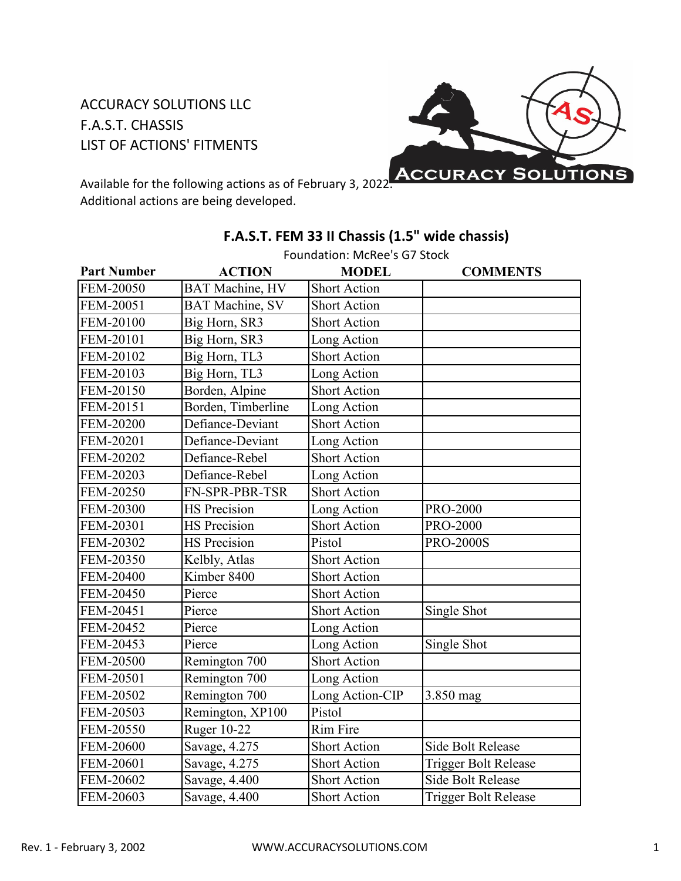## ACCURACY SOLUTIONS LLC F.A.S.T. CHASSIS LIST OF ACTIONS' FITMENTS



Available for the following actions as of February 3, 2022. Additional actions are being developed.

|                    | Foundation: McRee's G7 Stock |                     |                             |
|--------------------|------------------------------|---------------------|-----------------------------|
| <b>Part Number</b> | <b>ACTION</b>                | <b>MODEL</b>        | <b>COMMENTS</b>             |
| FEM-20050          | <b>BAT Machine</b> , HV      | <b>Short Action</b> |                             |
| FEM-20051          | <b>BAT Machine, SV</b>       | <b>Short Action</b> |                             |
| FEM-20100          | Big Horn, SR3                | <b>Short Action</b> |                             |
| FEM-20101          | Big Horn, SR3                | Long Action         |                             |
| FEM-20102          | Big Horn, TL3                | <b>Short Action</b> |                             |
| FEM-20103          | Big Horn, TL3                | Long Action         |                             |
| FEM-20150          | Borden, Alpine               | <b>Short Action</b> |                             |
| FEM-20151          | Borden, Timberline           | Long Action         |                             |
| <b>FEM-20200</b>   | Defiance-Deviant             | <b>Short Action</b> |                             |
| FEM-20201          | Defiance-Deviant             | Long Action         |                             |
| FEM-20202          | Defiance-Rebel               | <b>Short Action</b> |                             |
| FEM-20203          | Defiance-Rebel               | Long Action         |                             |
| FEM-20250          | FN-SPR-PBR-TSR               | <b>Short Action</b> |                             |
| FEM-20300          | <b>HS</b> Precision          | Long Action         | <b>PRO-2000</b>             |
| FEM-20301          | <b>HS</b> Precision          | <b>Short Action</b> | <b>PRO-2000</b>             |
| FEM-20302          | <b>HS</b> Precision          | Pistol              | <b>PRO-2000S</b>            |
| FEM-20350          | Kelbly, Atlas                | Short Action        |                             |
| FEM-20400          | Kimber 8400                  | <b>Short Action</b> |                             |
| FEM-20450          | Pierce                       | <b>Short Action</b> |                             |
| FEM-20451          | Pierce                       | <b>Short Action</b> | Single Shot                 |
| FEM-20452          | Pierce                       | Long Action         |                             |
| FEM-20453          | Pierce                       | Long Action         | Single Shot                 |
| FEM-20500          | Remington 700                | <b>Short Action</b> |                             |
| FEM-20501          | Remington 700                | Long Action         |                             |
| FEM-20502          | Remington 700                | Long Action-CIP     | 3.850 mag                   |
| FEM-20503          | Remington, XP100             | Pistol              |                             |
| FEM-20550          | <b>Ruger 10-22</b>           | <b>Rim Fire</b>     |                             |
| <b>FEM-20600</b>   | Savage, 4.275                | <b>Short Action</b> | <b>Side Bolt Release</b>    |
| FEM-20601          | Savage, 4.275                | <b>Short Action</b> | Trigger Bolt Release        |
| FEM-20602          | Savage, 4.400                | <b>Short Action</b> | <b>Side Bolt Release</b>    |
| FEM-20603          | Savage, 4.400                | <b>Short Action</b> | <b>Trigger Bolt Release</b> |

## **F.A.S.T. FEM 33 II Chassis (1.5" wide chassis)**